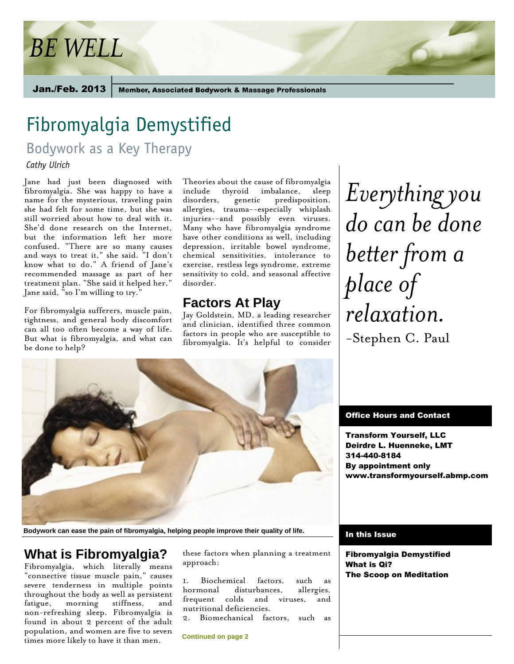# *BE WELL*

Jan./Feb. 2013

**Member, Associated Bodywork & Massage Professionals** 

# Fibromyalgia Demystified

Bodywork as a Key Therapy

*Cathy Ulrich* 

Jane had just been diagnosed with fibromyalgia. She was happy to have a name for the mysterious, traveling pain she had felt for some time, but she was still worried about how to deal with it. She'd done research on the Internet, but the information left her more confused. "There are so many causes and ways to treat it," she said. "I don't know what to do." A friend of Jane's recommended massage as part of her treatment plan. "She said it helped her," Jane said, "so I'm willing to try."

For fibromyalgia sufferers, muscle pain, tightness, and general body discomfort can all too often become a way of life. But what is fibromyalgia, and what can be done to help?

Theories about the cause of fibromyalgia include thyroid imbalance, sleep<br>disorders, genetic predisposition, genetic predisposition, allergies, trauma--especially whiplash injuries--and possibly even viruses. Many who have fibromyalgia syndrome have other conditions as well, including depression, irritable bowel syndrome, chemical sensitivities, intolerance to exercise, restless legs syndrome, extreme sensitivity to cold, and seasonal affective disorder.

## **Factors At Play**

Jay Goldstein, MD, a leading researcher and clinician, identified three common factors in people who are susceptible to fibromyalgia. It's helpful to consider



**Bodywork can ease the pain of fibromyalgia, helping people improve their quality of life.**

# **What is Fibromyalgia?**

Fibromyalgia, which literally means "connective tissue muscle pain," causes severe tenderness in multiple points throughout the body as well as persistent fatigue, morning stiffness, and non-refreshing sleep. Fibromyalgia is found in about 2 percent of the adult population, and women are five to seven times more likely to have it than men.

these factors when planning a treatment approach:

1. Biochemical factors, such as hormonal disturbances, allergies, frequent colds and viruses, and nutritional deficiencies.

Biomechanical factors, such as

**Continued on page 2**

*Everything you do can be done better from a place of relaxation.* -Stephen C. Paul

#### Office Hours and Contact

Transform Yourself, LLC Deirdre L. Huenneke, LMT 314-440-8184 By appointment only www.transformyourself.abmp.com

#### In this Issue

Fibromyalgia Demystified What is Qi? The Scoop on Meditation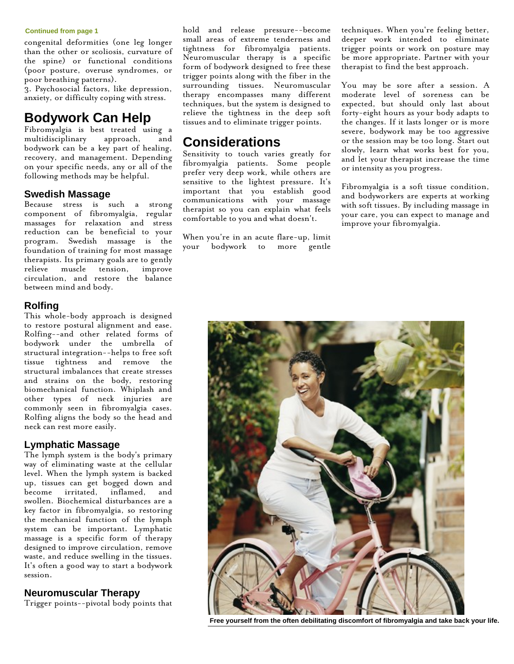#### **Continued from page 1**

congenital deformities (one leg longer than the other or scoliosis, curvature of the spine) or functional conditions (poor posture, overuse syndromes, or poor breathing patterns).

3. Psychosocial factors, like depression, anxiety, or difficulty coping with stress.

## **Bodywork Can Help**

Fibromyalgia is best treated using a multidisciplinary approach, and bodywork can be a key part of healing, recovery, and management. Depending on your specific needs, any or all of the following methods may be helpful.

#### **Swedish Massage**

Because stress is such a strong component of fibromyalgia, regular massages for relaxation and stress reduction can be beneficial to your program. Swedish massage is the foundation of training for most massage therapists. Its primary goals are to gently relieve muscle tension, improve circulation, and restore the balance between mind and body.

#### **Rolfing**

This whole-body approach is designed to restore postural alignment and ease. Rolfing--and other related forms of bodywork under the umbrella of structural integration--helps to free soft tissue tightness and remove the structural imbalances that create stresses and strains on the body, restoring biomechanical function. Whiplash and other types of neck injuries are commonly seen in fibromyalgia cases. Rolfing aligns the body so the head and neck can rest more easily.

#### **Lymphatic Massage**

The lymph system is the body's primary way of eliminating waste at the cellular level. When the lymph system is backed up, tissues can get bogged down and become irritated, inflamed, and swollen. Biochemical disturbances are a key factor in fibromyalgia, so restoring the mechanical function of the lymph system can be important. Lymphatic massage is a specific form of therapy designed to improve circulation, remove waste, and reduce swelling in the tissues. It's often a good way to start a bodywork session.

#### **Neuromuscular Therapy**

Trigger points--pivotal body points that

hold and release pressure--become small areas of extreme tenderness and tightness for fibromyalgia patients. Neuromuscular therapy is a specific form of bodywork designed to free these trigger points along with the fiber in the surrounding tissues. Neuromuscular therapy encompasses many different techniques, but the system is designed to relieve the tightness in the deep soft tissues and to eliminate trigger points.

### **Considerations**

Sensitivity to touch varies greatly for fibromyalgia patients. Some people prefer very deep work, while others are sensitive to the lightest pressure. It's important that you establish good communications with your massage therapist so you can explain what feels comfortable to you and what doesn't.

When you're in an acute flare-up, limit your bodywork to more gentle techniques. When you're feeling better, deeper work intended to eliminate trigger points or work on posture may be more appropriate. Partner with your therapist to find the best approach.

You may be sore after a session. A moderate level of soreness can be expected, but should only last about forty-eight hours as your body adapts to the changes. If it lasts longer or is more severe, bodywork may be too aggressive or the session may be too long. Start out slowly, learn what works best for you, and let your therapist increase the time or intensity as you progress.

Fibromyalgia is a soft tissue condition, and bodyworkers are experts at working with soft tissues. By including massage in your care, you can expect to manage and improve your fibromyalgia.



**Free yourself from the often debilitating discomfort of fibromyalgia and take back your life.**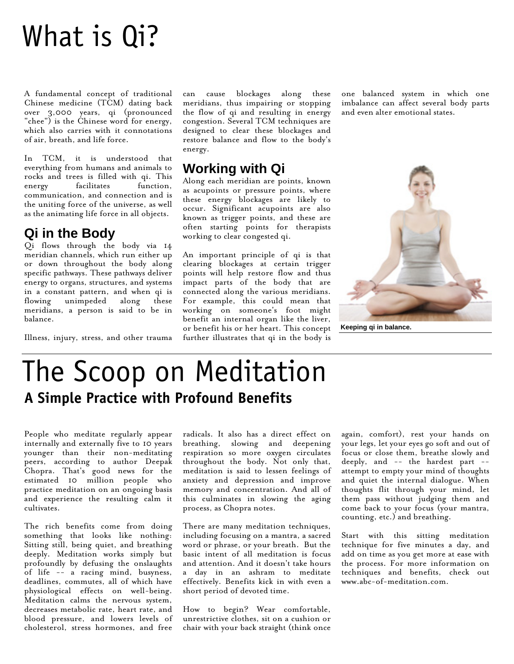# What is Qi?

A fundamental concept of traditional Chinese medicine (TCM) dating back over 3,000 years, qi (pronounced "chee") is the Chinese word for energy, which also carries with it connotations of air, breath, and life force.

In TCM, it is understood that everything from humans and animals to rocks and trees is filled with qi. This energy facilitates function, communication, and connection and is the uniting force of the universe, as well as the animating life force in all objects.

## **Qi in the Body**

Qi flows through the body via 14 meridian channels, which run either up or down throughout the body along specific pathways. These pathways deliver energy to organs, structures, and systems in a constant pattern, and when qi is flowing unimpeded along these meridians, a person is said to be in balance.

Illness, injury, stress, and other trauma

can cause blockages along these meridians, thus impairing or stopping the flow of qi and resulting in energy congestion. Several TCM techniques are designed to clear these blockages and restore balance and flow to the body's energy.

# **Working with Qi**

Along each meridian are points, known as acupoints or pressure points, where these energy blockages are likely to occur. Significant acupoints are also known as trigger points, and these are often starting points for therapists working to clear congested qi.

An important principle of qi is that clearing blockages at certain trigger points will help restore flow and thus impact parts of the body that are connected along the various meridians. For example, this could mean that working on someone's foot might benefit an internal organ like the liver, or benefit his or her heart. This concept further illustrates that qi in the body is

one balanced system in which one imbalance can affect several body parts and even alter emotional states.



**Keeping qi in balance.**

# The Scoop on Meditation **A Simple Practice with Profound Benefits**

People who meditate regularly appear internally and externally five to 10 years younger than their non-meditating peers, according to author Deepak Chopra. That's good news for the estimated 10 million people who practice meditation on an ongoing basis and experience the resulting calm it cultivates.

The rich benefits come from doing something that looks like nothing: Sitting still, being quiet, and breathing deeply. Meditation works simply but profoundly by defusing the onslaughts of life -- a racing mind, busyness, deadlines, commutes, all of which have physiological effects on well-being. Meditation calms the nervous system, decreases metabolic rate, heart rate, and blood pressure, and lowers levels of cholesterol, stress hormones, and free

radicals. It also has a direct effect on breathing, slowing and deepening respiration so more oxygen circulates throughout the body. Not only that, meditation is said to lessen feelings of anxiety and depression and improve memory and concentration. And all of this culminates in slowing the aging process, as Chopra notes.

There are many meditation techniques, including focusing on a mantra, a sacred word or phrase, or your breath. But the basic intent of all meditation is focus and attention. And it doesn't take hours a day in an ashram to meditate effectively. Benefits kick in with even a short period of devoted time.

How to begin? Wear comfortable, unrestrictive clothes, sit on a cushion or chair with your back straight (think once again, comfort), rest your hands on your legs, let your eyes go soft and out of focus or close them, breathe slowly and deeply, and -- the hardest part - attempt to empty your mind of thoughts and quiet the internal dialogue. When thoughts flit through your mind, let them pass without judging them and come back to your focus (your mantra, counting, etc.) and breathing.

Start with this sitting meditation technique for five minutes a day, and add on time as you get more at ease with the process. For more information on techniques and benefits, check out www.abc-of-meditation.com.